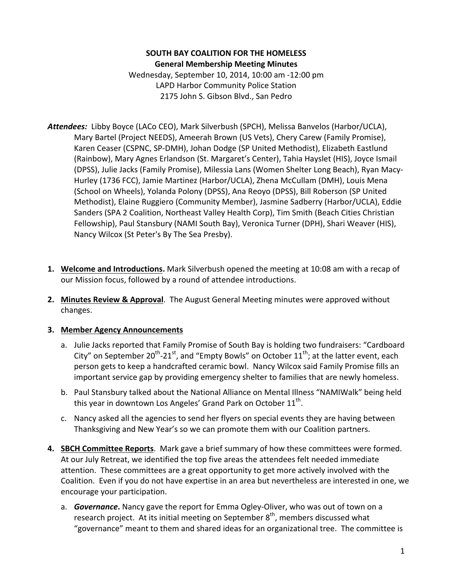### **SOUTH BAY COALITION FOR THE HOMELESS General Membership Meeting Minutes**

Wednesday, September 10, 2014, 10:00 am -12:00 pm LAPD Harbor Community Police Station 2175 John S. Gibson Blvd., San Pedro

- Attendees: Libby Boyce (LACo CEO), Mark Silverbush (SPCH), Melissa Banvelos (Harbor/UCLA), Mary Bartel (Project NEEDS), Ameerah Brown (US Vets), Chery Carew (Family Promise), Karen Ceaser (CSPNC, SP-DMH), Johan Dodge (SP United Methodist), Elizabeth Eastlund (Rainbow), Mary Agnes Erlandson (St. Margaret's Center), Tahia Hayslet (HIS), Joyce Ismail (DPSS), Julie Jacks (Family Promise), Milessia Lans (Women Shelter Long Beach), Ryan Macy-Hurley (1736 FCC), Jamie Martinez (Harbor/UCLA), Zhena McCullam (DMH), Louis Mena (School on Wheels), Yolanda Polony (DPSS), Ana Reoyo (DPSS), Bill Roberson (SP United Methodist), Elaine Ruggiero (Community Member), Jasmine Sadberry (Harbor/UCLA), Eddie Sanders (SPA 2 Coalition, Northeast Valley Health Corp), Tim Smith (Beach Cities Christian Fellowship), Paul Stansbury (NAMI South Bay), Veronica Turner (DPH), Shari Weaver (HIS), Nancy Wilcox (St Peter's By The Sea Presby).
- **1. Welcome and Introductions.** Mark Silverbush opened the meeting at 10:08 am with a recap of our Mission focus, followed by a round of attendee introductions.
- **2.** Minutes Review & Approval. The August General Meeting minutes were approved without changes.

### **3. Member Agency Announcements**

- a. Julie Jacks reported that Family Promise of South Bay is holding two fundraisers: "Cardboard City" on September  $20^{th}$ -21st, and "Empty Bowls" on October  $11^{th}$ ; at the latter event, each person gets to keep a handcrafted ceramic bowl. Nancy Wilcox said Family Promise fills an important service gap by providing emergency shelter to families that are newly homeless.
- b. Paul Stansbury talked about the National Alliance on Mental Illness "NAMIWalk" being held this year in downtown Los Angeles' Grand Park on October  $11^{th}$ .
- c. Nancy asked all the agencies to send her flyers on special events they are having between Thanksgiving and New Year's so we can promote them with our Coalition partners.
- **4. SBCH Committee Reports**. Mark gave a brief summary of how these committees were formed. At our July Retreat, we identified the top five areas the attendees felt needed immediate attention. These committees are a great opportunity to get more actively involved with the Coalition. Even if you do not have expertise in an area but nevertheless are interested in one, we encourage your participation.
	- a. *Governance*. Nancy gave the report for Emma Ogley-Oliver, who was out of town on a research project. At its initial meeting on September  $8<sup>th</sup>$ , members discussed what "governance" meant to them and shared ideas for an organizational tree. The committee is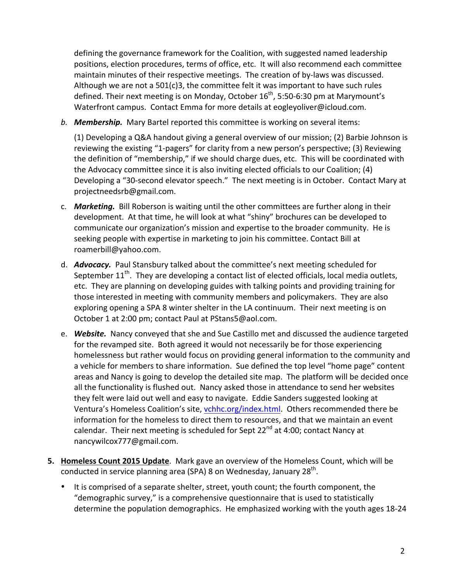defining the governance framework for the Coalition, with suggested named leadership positions, election procedures, terms of office, etc. It will also recommend each committee maintain minutes of their respective meetings. The creation of by-laws was discussed. Although we are not a  $501(c)3$ , the committee felt it was important to have such rules defined. Their next meeting is on Monday, October  $16^{th}$ , 5:50-6:30 pm at Marymount's Waterfront campus. Contact Emma for more details at eogleyoliver@icloud.com.

**b. Membership.** Mary Bartel reported this committee is working on several items:

(1) Developing a Q&A handout giving a general overview of our mission; (2) Barbie Johnson is reviewing the existing "1-pagers" for clarity from a new person's perspective; (3) Reviewing the definition of "membership," if we should charge dues, etc. This will be coordinated with the Advocacy committee since it is also inviting elected officials to our Coalition; (4) Developing a "30-second elevator speech." The next meeting is in October. Contact Mary at projectneedsrb@gmail.com.

- c. **Marketing.** Bill Roberson is waiting until the other committees are further along in their development. At that time, he will look at what "shiny" brochures can be developed to communicate our organization's mission and expertise to the broader community. He is seeking people with expertise in marketing to join his committee. Contact Bill at roamerbill@yahoo.com.
- d. *Advocacy.* Paul Stansbury talked about the committee's next meeting scheduled for September  $11^{th}$ . They are developing a contact list of elected officials, local media outlets, etc. They are planning on developing guides with talking points and providing training for those interested in meeting with community members and policymakers. They are also exploring opening a SPA 8 winter shelter in the LA continuum. Their next meeting is on October 1 at 2:00 pm; contact Paul at PStans5@aol.com.
- e. Website. Nancy conveyed that she and Sue Castillo met and discussed the audience targeted for the revamped site. Both agreed it would not necessarily be for those experiencing homelessness but rather would focus on providing general information to the community and a vehicle for members to share information. Sue defined the top level "home page" content areas and Nancy is going to develop the detailed site map. The platform will be decided once all the functionality is flushed out. Nancy asked those in attendance to send her websites they felt were laid out well and easy to navigate. Eddie Sanders suggested looking at Ventura's Homeless Coalition's site, vchhc.org/index.html. Others recommended there be information for the homeless to direct them to resources, and that we maintain an event calendar. Their next meeting is scheduled for Sept  $22^{nd}$  at 4:00; contact Nancy at nancywilcox777@gmail.com.
- **5. Homeless Count 2015 Update**. Mark gave an overview of the Homeless Count, which will be conducted in service planning area (SPA) 8 on Wednesday, January 28<sup>th</sup>.
	- It is comprised of a separate shelter, street, youth count; the fourth component, the "demographic survey," is a comprehensive questionnaire that is used to statistically determine the population demographics. He emphasized working with the youth ages 18-24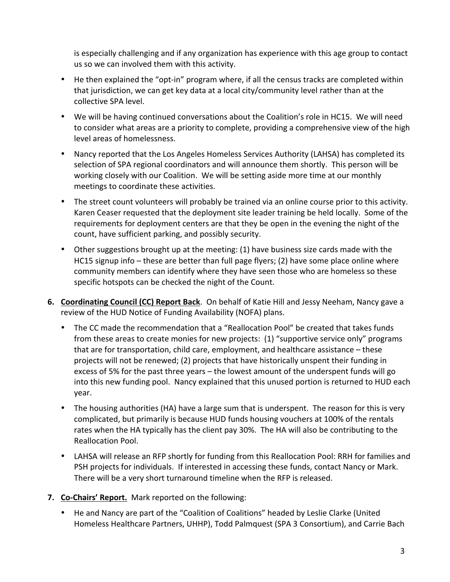is especially challenging and if any organization has experience with this age group to contact us so we can involved them with this activity.

- He then explained the "opt-in" program where, if all the census tracks are completed within that jurisdiction, we can get key data at a local city/community level rather than at the collective SPA level.
- We will be having continued conversations about the Coalition's role in HC15. We will need to consider what areas are a priority to complete, providing a comprehensive view of the high level areas of homelessness.
- Nancy reported that the Los Angeles Homeless Services Authority (LAHSA) has completed its selection of SPA regional coordinators and will announce them shortly. This person will be working closely with our Coalition. We will be setting aside more time at our monthly meetings to coordinate these activities.
- The street count volunteers will probably be trained via an online course prior to this activity. Karen Ceaser requested that the deployment site leader training be held locally. Some of the requirements for deployment centers are that they be open in the evening the night of the count, have sufficient parking, and possibly security.
- Other suggestions brought up at the meeting: (1) have business size cards made with the HC15 signup info – these are better than full page flyers; (2) have some place online where community members can identify where they have seen those who are homeless so these specific hotspots can be checked the night of the Count.
- **6. Coordinating Council (CC) Report Back**. On behalf of Katie Hill and Jessy Neeham, Nancy gave a review of the HUD Notice of Funding Availability (NOFA) plans.
	- The CC made the recommendation that a "Reallocation Pool" be created that takes funds from these areas to create monies for new projects: (1) "supportive service only" programs that are for transportation, child care, employment, and healthcare assistance  $-$  these projects will not be renewed; (2) projects that have historically unspent their funding in excess of 5% for the past three years  $-$  the lowest amount of the underspent funds will go into this new funding pool. Nancy explained that this unused portion is returned to HUD each year.
	- The housing authorities (HA) have a large sum that is underspent. The reason for this is very complicated, but primarily is because HUD funds housing vouchers at 100% of the rentals rates when the HA typically has the client pay 30%. The HA will also be contributing to the Reallocation Pool.
	- LAHSA will release an RFP shortly for funding from this Reallocation Pool: RRH for families and PSH projects for individuals. If interested in accessing these funds, contact Nancy or Mark. There will be a very short turnaround timeline when the RFP is released.
- **7. Co-Chairs' Report.** Mark reported on the following:
	- He and Nancy are part of the "Coalition of Coalitions" headed by Leslie Clarke (United Homeless Healthcare Partners, UHHP), Todd Palmquest (SPA 3 Consortium), and Carrie Bach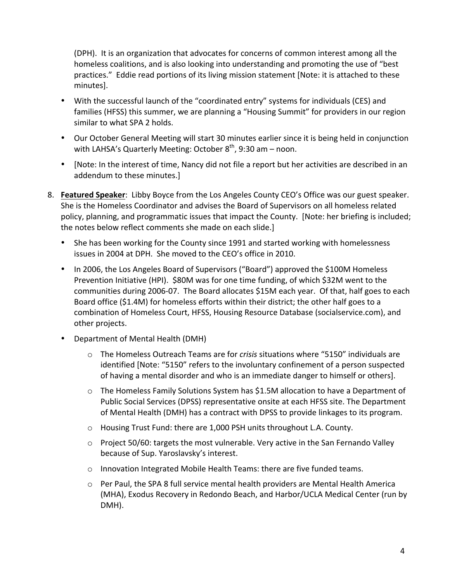(DPH). It is an organization that advocates for concerns of common interest among all the homeless coalitions, and is also looking into understanding and promoting the use of "best practices." Eddie read portions of its living mission statement [Note: it is attached to these minutes].

- With the successful launch of the "coordinated entry" systems for individuals (CES) and families (HFSS) this summer, we are planning a "Housing Summit" for providers in our region similar to what SPA 2 holds.
- Our October General Meeting will start 30 minutes earlier since it is being held in conjunction with LAHSA's Quarterly Meeting: October  $8^{th}$ , 9:30 am – noon.
- [Note: In the interest of time, Nancy did not file a report but her activities are described in an addendum to these minutes.]
- 8. **Featured Speaker**: Libby Boyce from the Los Angeles County CEO's Office was our guest speaker. She is the Homeless Coordinator and advises the Board of Supervisors on all homeless related policy, planning, and programmatic issues that impact the County. [Note: her briefing is included; the notes below reflect comments she made on each slide.]
	- She has been working for the County since 1991 and started working with homelessness issues in 2004 at DPH. She moved to the CEO's office in 2010.
	- In 2006, the Los Angeles Board of Supervisors ("Board") approved the \$100M Homeless Prevention Initiative (HPI). \$80M was for one time funding, of which \$32M went to the communities during 2006-07. The Board allocates \$15M each year. Of that, half goes to each Board office (\$1.4M) for homeless efforts within their district; the other half goes to a combination of Homeless Court, HFSS, Housing Resource Database (socialservice.com), and other projects.
	- Department of Mental Health (DMH)
		- o The Homeless Outreach Teams are for *crisis* situations where "5150" individuals are identified [Note: "5150" refers to the involuntary confinement of a person suspected of having a mental disorder and who is an immediate danger to himself or others].
		- $\circ$  The Homeless Family Solutions System has \$1.5M allocation to have a Department of Public Social Services (DPSS) representative onsite at each HFSS site. The Department of Mental Health (DMH) has a contract with DPSS to provide linkages to its program.
		- o Housing Trust Fund: there are 1,000 PSH units throughout L.A. County.
		- $\circ$  Project 50/60: targets the most vulnerable. Very active in the San Fernando Valley because of Sup. Yaroslavsky's interest.
		- $\circ$  Innovation Integrated Mobile Health Teams: there are five funded teams.
		- $\circ$  Per Paul, the SPA 8 full service mental health providers are Mental Health America (MHA), Exodus Recovery in Redondo Beach, and Harbor/UCLA Medical Center (run by DMH).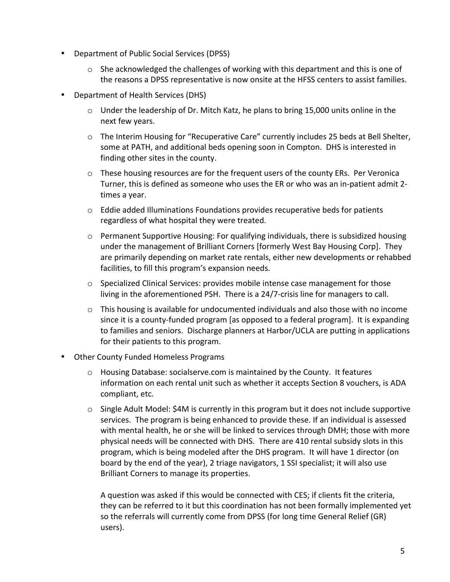- Department of Public Social Services (DPSS)
	- $\circ$  She acknowledged the challenges of working with this department and this is one of the reasons a DPSS representative is now onsite at the HFSS centers to assist families.
- Department of Health Services (DHS)
	- $\circ$  Under the leadership of Dr. Mitch Katz, he plans to bring 15,000 units online in the next few years.
	- o The Interim Housing for "Recuperative Care" currently includes 25 beds at Bell Shelter, some at PATH, and additional beds opening soon in Compton. DHS is interested in finding other sites in the county.
	- $\circ$  These housing resources are for the frequent users of the county ERs. Per Veronica Turner, this is defined as someone who uses the ER or who was an in-patient admit 2times a year.
	- $\circ$  Eddie added Illuminations Foundations provides recuperative beds for patients regardless of what hospital they were treated.
	- $\circ$  Permanent Supportive Housing: For qualifying individuals, there is subsidized housing under the management of Brilliant Corners [formerly West Bay Housing Corp]. They are primarily depending on market rate rentals, either new developments or rehabbed facilities, to fill this program's expansion needs.
	- $\circ$  Specialized Clinical Services: provides mobile intense case management for those living in the aforementioned PSH. There is a 24/7-crisis line for managers to call.
	- $\circ$  This housing is available for undocumented individuals and also those with no income since it is a county-funded program [as opposed to a federal program]. It is expanding to families and seniors. Discharge planners at Harbor/UCLA are putting in applications for their patients to this program.
- Other County Funded Homeless Programs
	- $\circ$  Housing Database: socialserve.com is maintained by the County. It features information on each rental unit such as whether it accepts Section 8 vouchers, is ADA compliant, etc.
	- $\circ$  Single Adult Model: \$4M is currently in this program but it does not include supportive services. The program is being enhanced to provide these. If an individual is assessed with mental health, he or she will be linked to services through DMH; those with more physical needs will be connected with DHS. There are 410 rental subsidy slots in this program, which is being modeled after the DHS program. It will have 1 director (on board by the end of the year), 2 triage navigators, 1 SSI specialist; it will also use Brilliant Corners to manage its properties.

A question was asked if this would be connected with CES; if clients fit the criteria, they can be referred to it but this coordination has not been formally implemented vet so the referrals will currently come from DPSS (for long time General Relief (GR) users).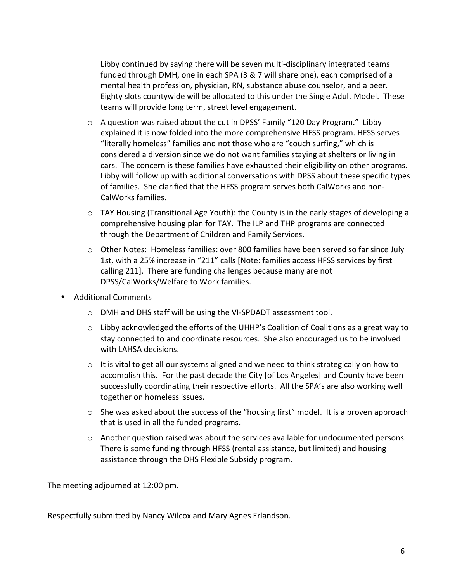Libby continued by saying there will be seven multi-disciplinary integrated teams funded through DMH, one in each SPA (3 & 7 will share one), each comprised of a mental health profession, physician, RN, substance abuse counselor, and a peer. Eighty slots countywide will be allocated to this under the Single Adult Model. These teams will provide long term, street level engagement.

- $\circ$  A question was raised about the cut in DPSS' Family "120 Day Program." Libby explained it is now folded into the more comprehensive HFSS program. HFSS serves "literally homeless" families and not those who are "couch surfing," which is considered a diversion since we do not want families staying at shelters or living in cars. The concern is these families have exhausted their eligibility on other programs. Libby will follow up with additional conversations with DPSS about these specific types of families. She clarified that the HFSS program serves both CalWorks and non-CalWorks families.
- $\circ$  TAY Housing (Transitional Age Youth): the County is in the early stages of developing a comprehensive housing plan for TAY. The ILP and THP programs are connected through the Department of Children and Family Services.
- $\circ$  Other Notes: Homeless families: over 800 families have been served so far since July 1st, with a 25% increase in "211" calls [Note: families access HFSS services by first calling 211]. There are funding challenges because many are not DPSS/CalWorks/Welfare to Work families.
- Additional Comments
	- o DMH and DHS staff will be using the VI-SPDADT assessment tool.
	- $\circ$  Libby acknowledged the efforts of the UHHP's Coalition of Coalitions as a great way to stay connected to and coordinate resources. She also encouraged us to be involved with LAHSA decisions.
	- $\circ$  It is vital to get all our systems aligned and we need to think strategically on how to accomplish this. For the past decade the City [of Los Angeles] and County have been successfully coordinating their respective efforts. All the SPA's are also working well together on homeless issues.
	- $\circ$  She was asked about the success of the "housing first" model. It is a proven approach that is used in all the funded programs.
	- $\circ$  Another question raised was about the services available for undocumented persons. There is some funding through HFSS (rental assistance, but limited) and housing assistance through the DHS Flexible Subsidy program.

The meeting adjourned at 12:00 pm.

Respectfully submitted by Nancy Wilcox and Mary Agnes Erlandson.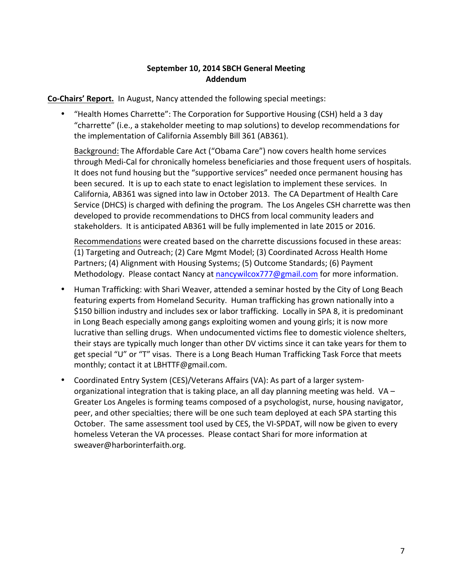### **September 10, 2014 SBCH General Meeting Addendum**

**Co-Chairs' Report.** In August, Nancy attended the following special meetings:

• "Health Homes Charrette": The Corporation for Supportive Housing (CSH) held a 3 day "charrette" (i.e., a stakeholder meeting to map solutions) to develop recommendations for the implementation of California Assembly Bill 361 (AB361).

Background: The Affordable Care Act ("Obama Care") now covers health home services through Medi-Cal for chronically homeless beneficiaries and those frequent users of hospitals. It does not fund housing but the "supportive services" needed once permanent housing has been secured. It is up to each state to enact legislation to implement these services. In California, AB361 was signed into law in October 2013. The CA Department of Health Care Service (DHCS) is charged with defining the program. The Los Angeles CSH charrette was then developed to provide recommendations to DHCS from local community leaders and stakeholders. It is anticipated AB361 will be fully implemented in late 2015 or 2016.

Recommendations were created based on the charrette discussions focused in these areas: (1) Targeting and Outreach; (2) Care Mgmt Model; (3) Coordinated Across Health Home Partners; (4) Alignment with Housing Systems; (5) Outcome Standards; (6) Payment Methodology. Please contact Nancy at nancywilcox777@gmail.com for more information.

- Human Trafficking: with Shari Weaver, attended a seminar hosted by the City of Long Beach featuring experts from Homeland Security. Human trafficking has grown nationally into a \$150 billion industry and includes sex or labor trafficking. Locally in SPA 8, it is predominant in Long Beach especially among gangs exploiting women and young girls; it is now more lucrative than selling drugs. When undocumented victims flee to domestic violence shelters, their stays are typically much longer than other DV victims since it can take years for them to get special "U" or "T" visas. There is a Long Beach Human Trafficking Task Force that meets monthly; contact it at LBHTTF@gmail.com.
- Coordinated Entry System (CES)/Veterans Affairs (VA): As part of a larger systemorganizational integration that is taking place, an all day planning meeting was held.  $VA$  – Greater Los Angeles is forming teams composed of a psychologist, nurse, housing navigator, peer, and other specialties; there will be one such team deployed at each SPA starting this October. The same assessment tool used by CES, the VI-SPDAT, will now be given to every homeless Veteran the VA processes. Please contact Shari for more information at sweaver@harborinterfaith.org.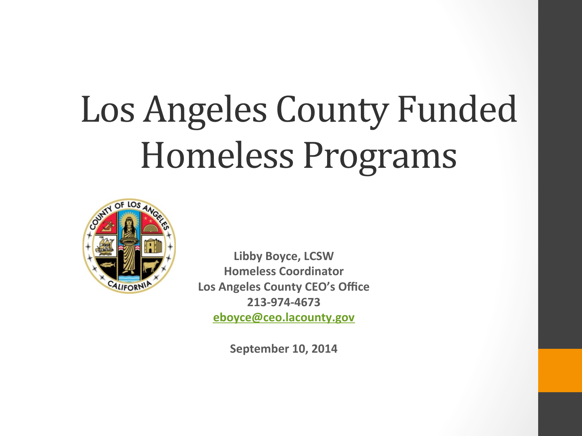# Los Angeles County Funded Homeless Programs



**Libby Boyce, LCSW Homeless Coordinator** Los Angeles County CEO's Office **213-974-4673 eboyce@ceo.lacounty.gov**

**September 10, 2014**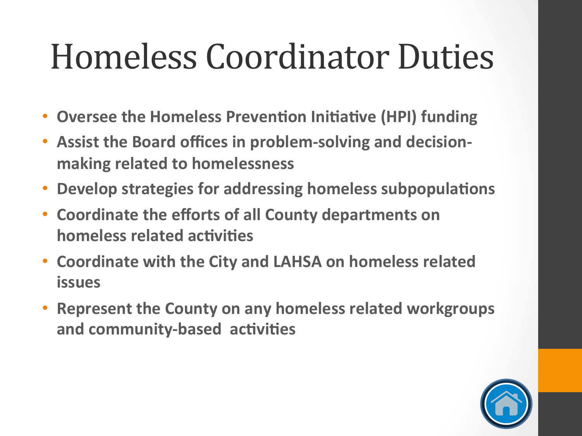### Homeless Coordinator Duties

- Oversee the Homeless Prevention Initiative (HPI) funding
- **Assist the Board offices in problem-solving and decisionmaking related to homelessness**
- **Develop strategies for addressing homeless subpopulations**
- **Coordinate the efforts of all County departments on homeless related activities**
- **Coordinate with the City and LAHSA on homeless related issues**
- **Represent the County on any homeless related workgroups** and community-based activities

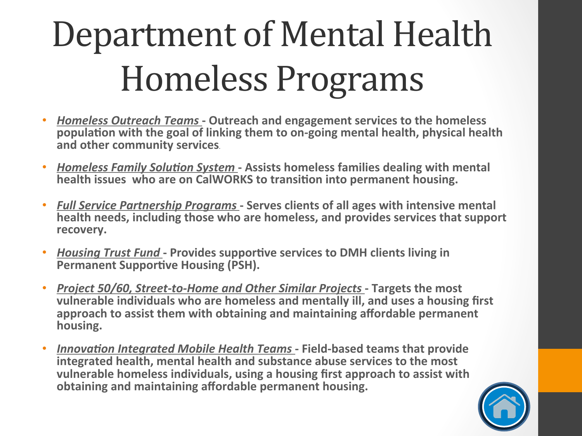# Department of Mental Health Homeless Programs

- *Homeless Outreach Teams* Outreach and engagement services to the homeless **population with the goal of linking them to on-going mental health, physical health** and other community services.
- *Homeless Family Solution System* Assists homeless families dealing with mental **health issues who are on CalWORKS to transition into permanent housing.**
- Full Service Partnership Programs Serves clients of all ages with intensive mental **health needs, including those who are homeless, and provides services that support** recovery.
- *Housing Trust Fund* Provides supportive services to DMH clients living in **Permanent Supportive Housing (PSH).**
- *Project 50/60, Street-to-Home and Other Similar Projects Targets the most* vulnerable individuals who are homeless and mentally ill, and uses a housing first approach to assist them with obtaining and maintaining affordable permanent **housing.**
- **Innovation Integrated Mobile Health Teams Field-based teams that provide** integrated health, mental health and substance abuse services to the most vulnerable homeless individuals, using a housing first approach to assist with **obtaining and maintaining affordable permanent housing.**

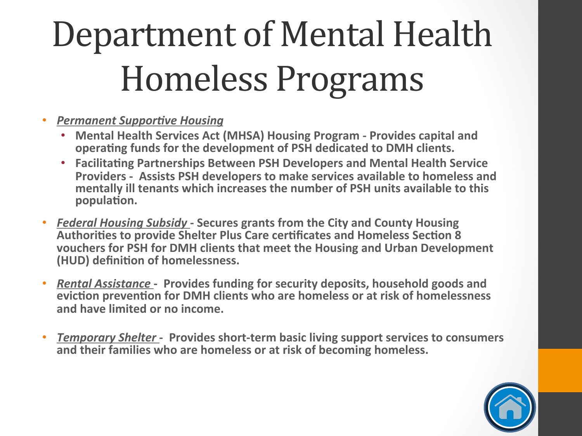# Department of Mental Health Homeless Programs

- **Permanent Supportive Housing** 
	- **Mental Health Services Act (MHSA) Housing Program Provides capital and** operating funds for the development of PSH dedicated to DMH clients.
	- **Facilitating Partnerships Between PSH Developers and Mental Health Service** Providers - Assists PSH developers to make services available to homeless and mentally ill tenants which increases the number of PSH units available to this population.
- *Federal Housing Subsidy* Secures grants from the City and County Housing Authorities to provide Shelter Plus Care certificates and Homeless Section 8 **vouchers for PSH for DMH clients that meet the Housing and Urban Development (HUD)** definition of homelessness.
- *Rental Assistance* Provides funding for security deposits, household goods and **eviction prevention for DMH clients who are homeless or at risk of homelessness** and have limited or no income.
- *Temporary Shelter* Provides short-term basic living support services to consumers and their families who are homeless or at risk of becoming homeless.

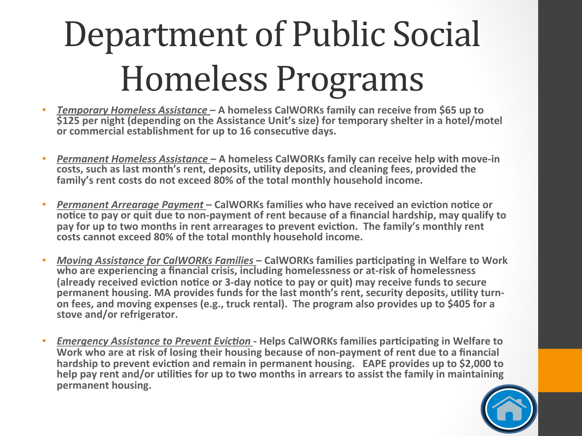# Department of Public Social Homeless Programs

- *Temporary Homeless Assistance* A homeless CalWORKs family can receive from \$65 up to **\$125** per night (depending on the Assistance Unit's size) for temporary shelter in a hotel/motel or commercial establishment for up to 16 consecutive days.
- **Permanent Homeless Assistance A homeless CalWORKs family can receive help with move-in** costs, such as last month's rent, deposits, utility deposits, and cleaning fees, provided the family's rent costs do not exceed 80% of the total monthly household income.
- Permanent Arrearage Payment CalWORKs families who have received an eviction notice or notice to pay or quit due to non-payment of rent because of a financial hardship, may qualify to pay for up to two months in rent arrearages to prevent eviction. The family's monthly rent costs cannot exceed 80% of the total monthly household income.
- Moving Assistance for CalWORKs Families CalWORKs families participating in Welfare to Work who are experiencing a financial crisis, including homelessness or at-risk of homelessness (already received eviction notice or 3-day notice to pay or quit) may receive funds to secure permanent housing. MA provides funds for the last month's rent, security deposits, utility turnon fees, and moving expenses (e.g., truck rental). The program also provides up to \$405 for a stove and/or refrigerator.
- *Emergency Assistance to Prevent Eviction* Helps CalWORKs families participating in Welfare to Work who are at risk of losing their housing because of non-payment of rent due to a financial hardship to prevent eviction and remain in permanent housing. EAPE provides up to \$2,000 to help pay rent and/or utilities for up to two months in arrears to assist the family in maintaining **permanent housing.**

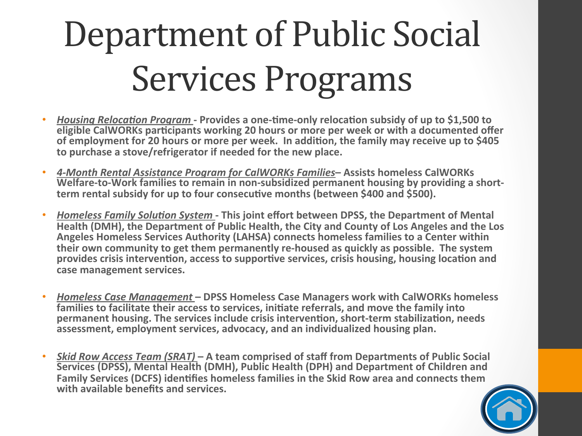# Department of Public Social Services Programs

- *Housing Relocation Program* Provides a one-time-only relocation subsidy of up to \$1,500 to **eligible CalWORKs participants working 20 hours or more per week or with a documented offer** of employment for 20 hours or more per week. In addition, the family may receive up to \$405 to purchase a stove/refrigerator if needed for the new place.
- *4-Month Rental Assistance Program for CalWORKs Families***– Assists homeless CalWORKs** Welfare-to-Work families to remain in non-subsidized permanent housing by providing a shortterm rental subsidy for up to four consecutive months (between \$400 and \$500).
- **Homeless Family Solution System This joint effort between DPSS, the Department of Mental** Health (DMH), the Department of Public Health, the City and County of Los Angeles and the Los Angeles Homeless Services Authority (LAHSA) connects homeless families to a Center within **their own community to get them permanently re-housed as quickly as possible. The system** provides crisis intervention, access to supportive services, crisis housing, housing location and case management services.
- **Homeless Case Management DPSS Homeless Case Managers work with CalWORKs homeless families to facilitate their access to services, initiate referrals, and move the family into permanent housing. The services include crisis intervention, short-term stabilization, needs** assessment, employment services, advocacy, and an individualized housing plan.
- **Skid Row Access Team (SRAT) A team comprised of staff from Departments of Public Social Services (DPSS), Mental Health (DMH), Public Health (DPH) and Department of Children and Family Services (DCFS) identifies homeless families in the Skid Row area and connects them** with available benefits and services.

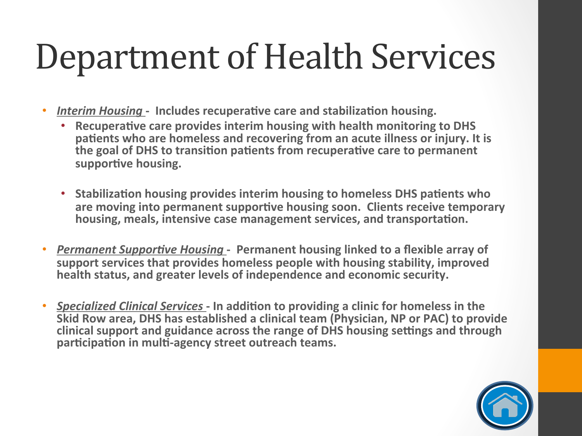### Department of Health Services

- *Interim Housing* Includes recuperative care and stabilization housing.
	- **Recuperative care provides interim housing with health monitoring to DHS** patients who are homeless and recovering from an acute illness or injury. It is **the goal of DHS to transition patients from recuperative care to permanent** supportive housing.
	- Stabilization housing provides interim housing to homeless DHS patients who are moving into permanent supportive housing soon. Clients receive temporary housing, meals, intensive case management services, and transportation.
- Permanent Supportive Housing Permanent housing linked to a flexible array of support services that provides homeless people with housing stability, improved **health status, and greater levels of independence and economic security.**
- *Specialized Clinical Services* In addition to providing a clinic for homeless in the **Skid Row area, DHS has established a clinical team (Physician, NP or PAC) to provide clinical support and guidance across the range of DHS housing settings and through** participation in multi-agency street outreach teams.

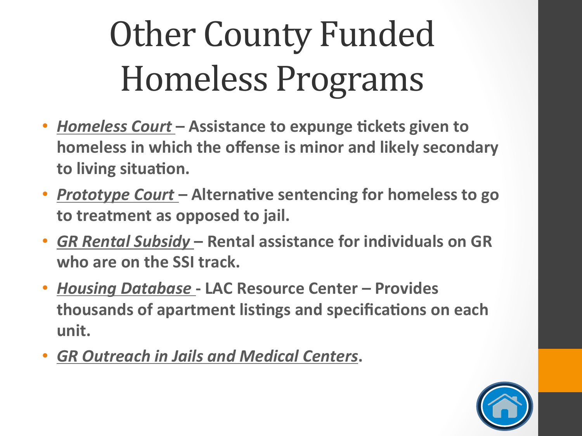# **Other County Funded** Homeless Programs

- *Homeless Court* Assistance to expunge tickets given to **homeless in which the offense is minor and likely secondary** to living situation.
- **Prototype Court** Alternative sentencing for homeless to go to treatment as opposed to jail.
- GR Rental Subsidy Rental assistance for individuals on GR who are on the SSI track.
- Housing Database LAC Resource Center Provides **thousands of apartment listings and specifications on each unit.**
- **GR Outreach in Jails and Medical Centers.**

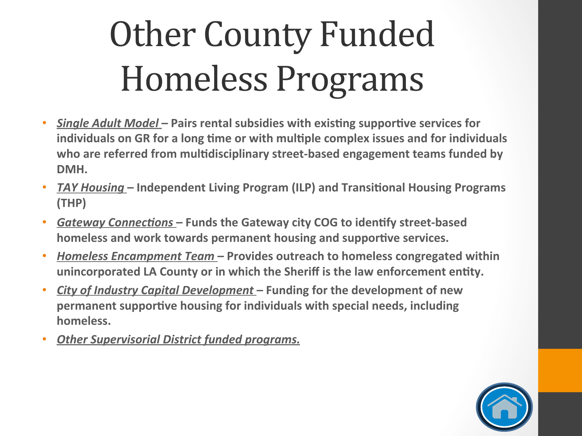# **Other County Funded** Homeless Programs

- Single Adult Model Pairs rental subsidies with existing supportive services for individuals on GR for a long time or with multiple complex issues and for individuals who are referred from multidisciplinary street-based engagement teams funded by DMH.
- *TAY Housing* Independent Living Program (ILP) and Transitional Housing Programs **(THP)**
- Gateway Connections Funds the Gateway city COG to identify street-based homeless and work towards permanent housing and supportive services.
- *Homeless Encampment Team* Provides outreach to homeless congregated within unincorporated LA County or in which the Sheriff is the law enforcement entity.
- City of Industry Capital Development Funding for the development of new **permanent supportive housing for individuals with special needs, including** homeless.
- **Other Supervisorial District funded programs.**